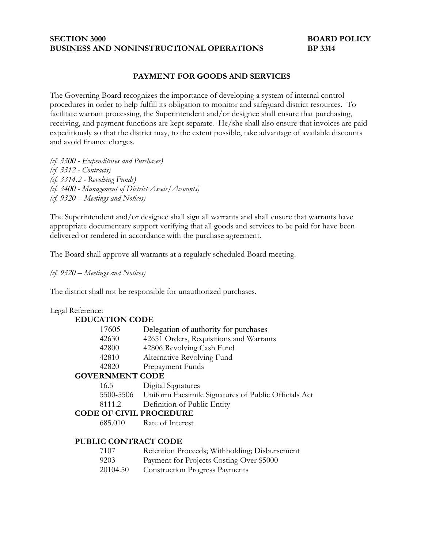### **SECTION 3000 BOARD POLICY BUSINESS AND NONINSTRUCTIONAL OPERATIONS BP 3314**

## **PAYMENT FOR GOODS AND SERVICES**

The Governing Board recognizes the importance of developing a system of internal control procedures in order to help fulfill its obligation to monitor and safeguard district resources. To facilitate warrant processing, the Superintendent and/or designee shall ensure that purchasing, receiving, and payment functions are kept separate. He/she shall also ensure that invoices are paid expeditiously so that the district may, to the extent possible, take advantage of available discounts and avoid finance charges.

*(cf. 3300 - Expenditures and Purchases) (cf. 3312 - Contracts) (cf. 3314.2 - Revolving Funds) (cf. 3400 - Management of District Assets/Accounts) (cf. 9320 – Meetings and Notices)*

The Superintendent and/or designee shall sign all warrants and shall ensure that warrants have appropriate documentary support verifying that all goods and services to be paid for have been delivered or rendered in accordance with the purchase agreement.

The Board shall approve all warrants at a regularly scheduled Board meeting.

*(cf. 9320 – Meetings and Notices)*

The district shall not be responsible for unauthorized purchases.

#### Legal Reference:

| <b>EDUCATION CODE</b>          |                                                                |
|--------------------------------|----------------------------------------------------------------|
| 17605                          | Delegation of authority for purchases                          |
| 42630                          | 42651 Orders, Requisitions and Warrants                        |
| 42800                          | 42806 Revolving Cash Fund                                      |
| 42810                          | Alternative Revolving Fund                                     |
| 42820                          | Prepayment Funds                                               |
| <b>GOVERNMENT CODE</b>         |                                                                |
| 16.5                           | Digital Signatures                                             |
|                                | 5500-5506 Uniform Facsimile Signatures of Public Officials Act |
| 8111.2                         | Definition of Public Entity                                    |
| <b>CODE OF CIVIL PROCEDURE</b> |                                                                |
| 685.010                        | Rate of Interest                                               |

#### **PUBLIC CONTRACT CODE**

| 7107 | Retention Proceeds; Withholding; Disbursement |
|------|-----------------------------------------------|
| 9203 | Payment for Projects Costing Over \$5000      |

20104.50 Construction Progress Payments